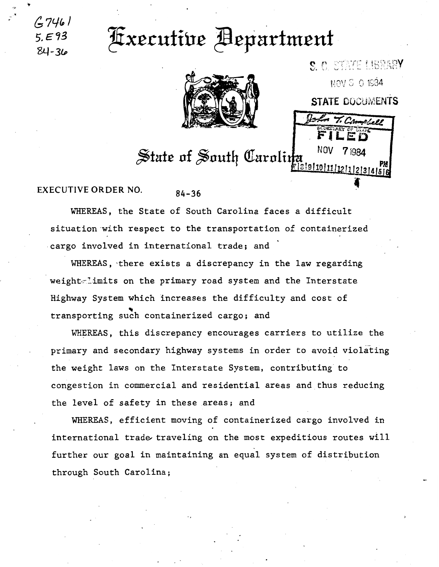84-36

## **Executive Bepartment**



NOV 3 0 1934 **STATE DOCUMENTS** Stort T. Complete **NOV**  $7<sub>1984</sub>$ State of South Carolina 1819110111112111213141516

S. C. STATE LIBRARY

## **EXECUTIVE ORDER NO.**  $84 - 36$

WHEREAS, the State of South Carolina faces a difficult situation with respect to the transportation of containerized cargo involved in international trade; and

WHEREAS, there exists a discrepancy in the law regarding weight limits on the primary road system and the Interstate Highway System which increases the difficulty and cost of transporting such containerized cargo; and

WHEREAS, this discrepancy encourages carriers to utilize the primary and secondary highway systems in order to avoid violating the weight laws on the Interstate System, contributing to congestion in commercial and residential areas and thus reducing the level of safety in these areas; and

WHEREAS, efficient moving of containerized cargo involved in international trade traveling on the most expeditious routes will further our goal in maintaining an equal system of distribution through South Carolina;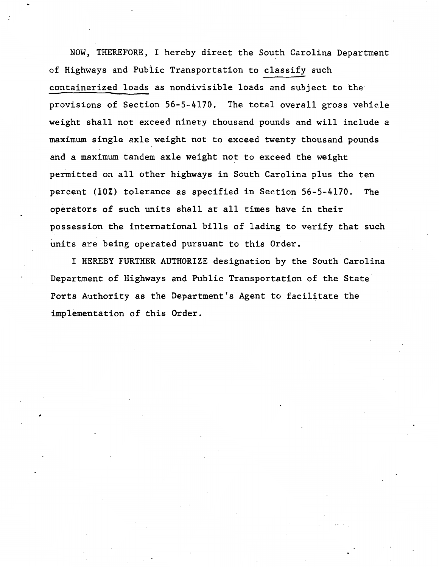NOW, THEREFORE, I hereby direct the South Carolina Department of Highways and Public Transportation to classify such containerized loads as nondivisible loads and subject to the provisions of Section 56-5-4170. The total overall gross vehicle weight shall not exceed ninety thousand pounds and will include a maximum single axle weight not to exceed twenty thousand pounds and a maximum tandem axle weight not to exceed the weight permitted on all other highways in South Carolina plus the ten percent (10%) tolerance as specified in Section 56-5-4170. The operators of such units shall at all times have in their possession the international bills of lading to verify that such units are being operated pursuant to this Order.

I HEREBY FURTHER AUTHORIZE designation by the South Carolina Department of Highways and Public Transportation of the State Ports Authority as the Department's Agent to facilitate the implementation of this Order.